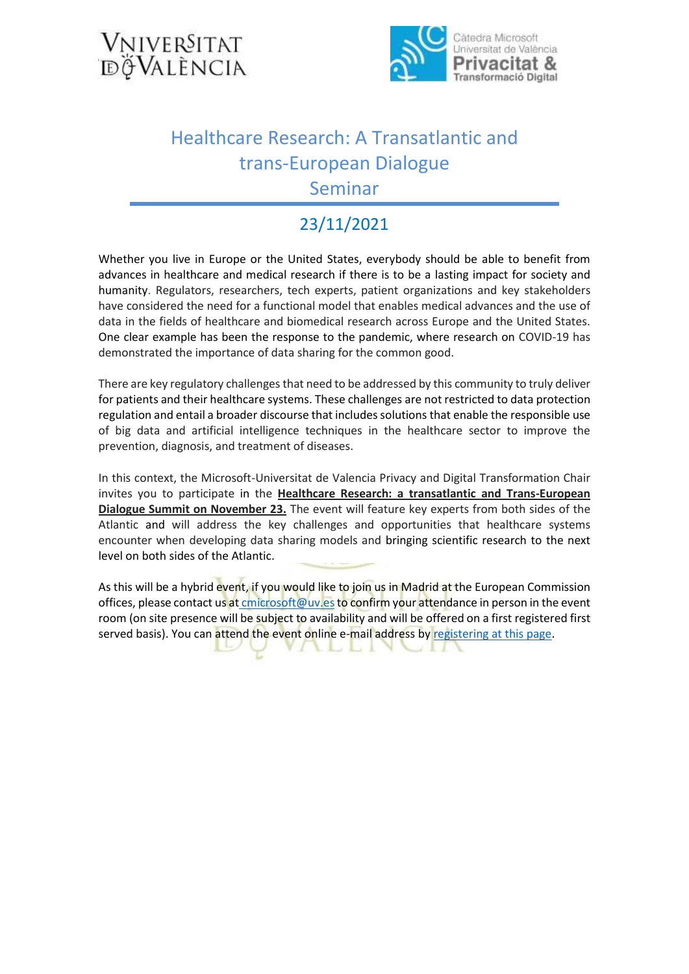



## Healthcare Research: A Transatlantic and trans-European Dialogue Seminar

## 23/11/2021

Whether you live in Europe or the United States, everybody should be able to benefit from advances in healthcare and medical research if there is to be a lasting impact for society and humanity. Regulators, researchers, tech experts, patient organizations and key stakeholders have considered the need for a functional model that enables medical advances and the use of data in the fields of healthcare and biomedical research across Europe and the United States. One clear example has been the response to the pandemic, where research on COVID-19 has demonstrated the importance of data sharing for the common good.

There are key regulatory challenges that need to be addressed by this community to truly deliver for patients and their healthcare systems. These challenges are not restricted to data protection regulation and entail a broader discourse that includes solutions that enable the responsible use of big data and artificial intelligence techniques in the healthcare sector to improve the prevention, diagnosis, and treatment of diseases.

In this context, the Microsoft-Universitat de Valencia Privacy and Digital Transformation Chair invites you to participate in the **Healthcare Research: a transatlantic and Trans-European Dialogue Summit on November 23.** The event will feature key experts from both sides of the Atlantic and will address the key challenges and opportunities that healthcare systems encounter when developing data sharing models and bringing scientific research to the next level on both sides of the Atlantic.

As this will be a hybrid event, if you would like to join us in Madrid at the European Commission offices, please contact us at [cmicrosoft@uv.es](mailto:%20cmicrosoft@uv.es) to confirm your attendance in person in the event room (on site presence will be subject to availability and will be offered on a first registered first served basis). You can attend the event online e-mail address b[y registering at this page.](https://esdeveniments.uv.es/go/healthcare-research-2021)

10 Jul